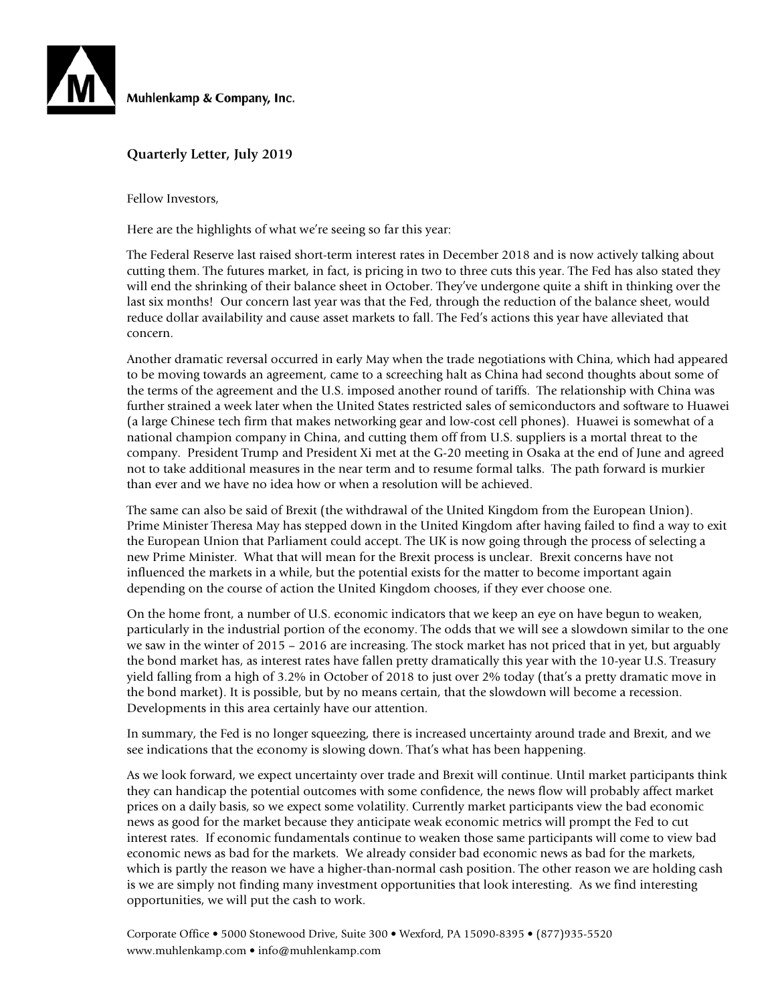

Muhlenkamp & Company, Inc.

### **Quarterly Letter, July 2019**

Fellow Investors,

Here are the highlights of what we're seeing so far this year:

The Federal Reserve last raised short-term interest rates in December 2018 and is now actively talking about cutting them. The futures market, in fact, is pricing in two to three cuts this year. The Fed has also stated they will end the shrinking of their balance sheet in October. They've undergone quite a shift in thinking over the last six months! Our concern last year was that the Fed, through the reduction of the balance sheet, would reduce dollar availability and cause asset markets to fall. The Fed's actions this year have alleviated that concern.

Another dramatic reversal occurred in early May when the trade negotiations with China, which had appeared to be moving towards an agreement, came to a screeching halt as China had second thoughts about some of the terms of the agreement and the U.S. imposed another round of tariffs. The relationship with China was further strained a week later when the United States restricted sales of semiconductors and software to Huawei (a large Chinese tech firm that makes networking gear and low-cost cell phones). Huawei is somewhat of a national champion company in China, and cutting them off from U.S. suppliers is a mortal threat to the company. President Trump and President Xi met at the G-20 meeting in Osaka at the end of June and agreed not to take additional measures in the near term and to resume formal talks. The path forward is murkier than ever and we have no idea how or when a resolution will be achieved.

The same can also be said of Brexit (the withdrawal of the United Kingdom from the European Union). Prime Minister Theresa May has stepped down in the United Kingdom after having failed to find a way to exit the European Union that Parliament could accept. The UK is now going through the process of selecting a new Prime Minister. What that will mean for the Brexit process is unclear. Brexit concerns have not influenced the markets in a while, but the potential exists for the matter to become important again depending on the course of action the United Kingdom chooses, if they ever choose one.

On the home front, a number of U.S. economic indicators that we keep an eye on have begun to weaken, particularly in the industrial portion of the economy. The odds that we will see a slowdown similar to the one we saw in the winter of 2015 – 2016 are increasing. The stock market has not priced that in yet, but arguably the bond market has, as interest rates have fallen pretty dramatically this year with the 10-year U.S. Treasury yield falling from a high of 3.2% in October of 2018 to just over 2% today (that's a pretty dramatic move in the bond market). It is possible, but by no means certain, that the slowdown will become a recession. Developments in this area certainly have our attention.

In summary, the Fed is no longer squeezing, there is increased uncertainty around trade and Brexit, and we see indications that the economy is slowing down. That's what has been happening.

As we look forward, we expect uncertainty over trade and Brexit will continue. Until market participants think they can handicap the potential outcomes with some confidence, the news flow will probably affect market prices on a daily basis, so we expect some volatility. Currently market participants view the bad economic news as good for the market because they anticipate weak economic metrics will prompt the Fed to cut interest rates. If economic fundamentals continue to weaken those same participants will come to view bad economic news as bad for the markets. We already consider bad economic news as bad for the markets, which is partly the reason we have a higher-than-normal cash position. The other reason we are holding cash is we are simply not finding many investment opportunities that look interesting. As we find interesting opportunities, we will put the cash to work.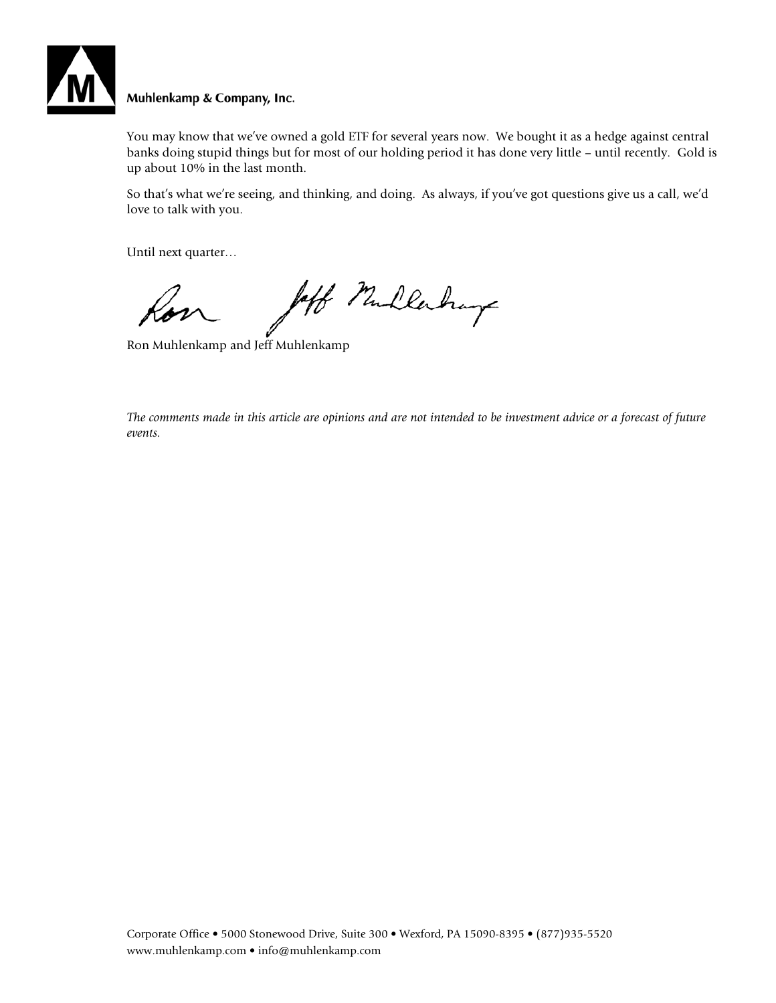

### Muhlenkamp & Company, Inc.

You may know that we've owned a gold ETF for several years now. We bought it as a hedge against central banks doing stupid things but for most of our holding period it has done very little – until recently. Gold is up about 10% in the last month.

So that's what we're seeing, and thinking, and doing. As always, if you've got questions give us a call, we'd love to talk with you.

Until next quarter…

left Mullerhays

Ron Muhlenkamp and Jeff Muhlenkamp

*The comments made in this article are opinions and are not intended to be investment advice or a forecast of future events.*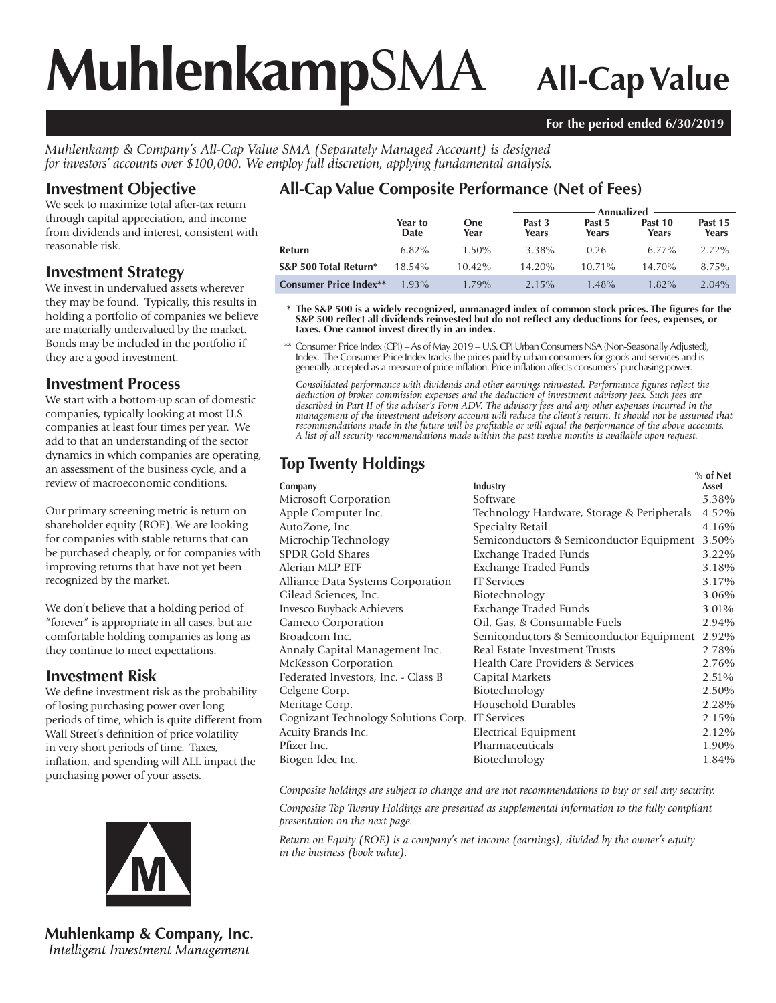# **Muhlenkamp**SMA **All-Cap Value**

#### **For the period ended 6/30/2019**

*Muhlenkamp & Company's All-Cap Value SMA (Separately Managed Account) is designed for investors' accounts over \$100,000. We employ full discretion, applying fundamental analysis.*

# **Investment Objective**

We seek to maximize total after-tax return through capital appreciation, and income from dividends and interest, consistent with reasonable risk.

## **Investment Strategy**

We invest in undervalued assets wherever they may be found. Typically, this results in holding a portfolio of companies we believe are materially undervalued by the market. Bonds may be included in the portfolio if they are a good investment.

## **Investment Process**

We start with a bottom-up scan of domestic companies, typically looking at most U.S. companies at least four times per year. We add to that an understanding of the sector dynamics in which companies are operating, an assessment of the business cycle, and a review of macroeconomic conditions.

Our primary screening metric is return on shareholder equity (ROE). We are looking for companies with stable returns that can be purchased cheaply, or for companies with improving returns that have not yet been recognized by the market.

We don't believe that a holding period of "forever" is appropriate in all cases, but are comfortable holding companies as long as they continue to meet expectations.

# **Investment Risk**

We define investment risk as the probability of losing purchasing power over long periods of time, which is quite different from Wall Street's definition of price volatility in very short periods of time. Taxes, inflation, and spending will ALL impact the purchasing power of your assets.



**Muhlenkamp & Company, Inc.** Intelligent Investment Management

# **All-Cap Value Composite Performance (Net of Fees)**

|                               |                 |                    | Annualized      |                 |                  |                  |  |
|-------------------------------|-----------------|--------------------|-----------------|-----------------|------------------|------------------|--|
|                               | Year to<br>Date | <b>One</b><br>Year | Past 3<br>Years | Past 5<br>Years | Past 10<br>Years | Past 15<br>Years |  |
| Refurn                        | $6.82\%$        | $-1.50\%$          | 3.38%           | $-0.26$         | $6.77\%$         | $2.72\%$         |  |
| S&P 500 Total Return*         | $18.54\%$       | $10.42\%$          | $14.20\%$       | $10.71\%$       | 14.70%           | 8.75%            |  |
| <b>Consumer Price Index**</b> | $1.93\%$        | $1.79\%$           | $2.15\%$        | $1.48\%$        | $1.82\%$         | $2.04\%$         |  |

 **\* The S&P 500 is a widely recognized, unmanaged index of common stock prices. The figures for the S&P 500 reflect all dividends reinvested but do not reflect any deductions for fees, expenses, or taxes. One cannot invest directly in an index.**

 \*\* Consumer Price Index (CPI) – As of May 2019 – U.S. CPI Urban Consumers NSA (Non-Seasonally Adjusted), Index. The Consumer Price Index tracks the prices paid by urban consumers for goods and services and is generally accepted as a measure of price inflation. Price inflation affects consumers' purchasing power.

*Consolidated performance with dividends and other earnings reinvested. Performance figures reflect the deduction of broker commission expenses and the deduction of investment advisory fees. Such fees are described in Part II of the adviser's Form ADV. The advisory fees and any other expenses incurred in the management of the investment advisory account will reduce the client's return. It should not be assumed that recommendations made in the future will be profitable or will equal the performance of the above accounts. A list of all security recommendations made within the past twelve months is available upon request.*

# **Top Twenty Holdings** *Metal* **<b>CONE**

|                                                  |                                            | % of Net |
|--------------------------------------------------|--------------------------------------------|----------|
| Company                                          | Industry                                   | Asset    |
| Microsoft Corporation                            | Software                                   | 5.38%    |
| Apple Computer Inc.                              | Technology Hardware, Storage & Peripherals | 4.52%    |
| AutoZone, Inc.                                   | Specialty Retail                           | 4.16%    |
| Microchip Technology                             | Semiconductors & Semiconductor Equipment   | 3.50%    |
| <b>SPDR Gold Shares</b>                          | Exchange Traded Funds                      | 3.22%    |
| Alerian MLP ETF                                  | Exchange Traded Funds                      | 3.18%    |
| Alliance Data Systems Corporation                | <b>IT</b> Services                         | 3.17%    |
| Gilead Sciences, Inc.                            | Biotechnology                              | 3.06%    |
| Invesco Buyback Achievers                        | Exchange Traded Funds                      | 3.01%    |
| Cameco Corporation                               | Oil, Gas, & Consumable Fuels               | 2.94%    |
| Broadcom Inc.                                    | Semiconductors & Semiconductor Equipment   | 2.92%    |
| Annaly Capital Management Inc.                   | Real Estate Investment Trusts              | 2.78%    |
| McKesson Corporation                             | Health Care Providers & Services           | 2.76%    |
| Federated Investors, Inc. - Class B              | Capital Markets                            | 2.51%    |
| Celgene Corp.                                    | Biotechnology                              | 2.50%    |
| Meritage Corp.                                   | Household Durables                         | 2.28%    |
| Cognizant Technology Solutions Corp. IT Services |                                            | 2.15%    |
| Acuity Brands Inc.                               | Electrical Equipment                       | 2.12%    |
| Pfizer Inc.                                      | Pharmaceuticals                            | 1.90%    |
| Biogen Idec Inc.                                 | Biotechnology                              | 1.84%    |
|                                                  |                                            |          |

*Composite holdings are subject to change and are not recommendations to buy or sell any security.*

*Composite Top Twenty Holdings are presented as supplemental information to the fully compliant presentation on the next page.*

*Return on Equity (ROE) is a company's net income (earnings), divided by the owner's equity in the business (book value).*